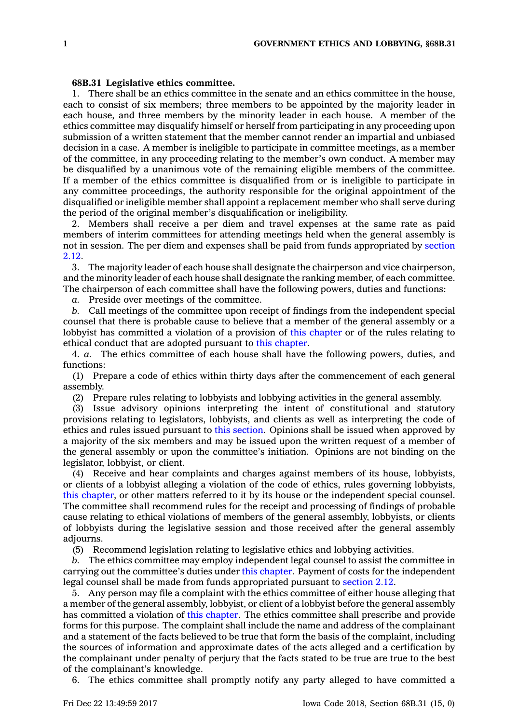## **68B.31 Legislative ethics committee.**

1. There shall be an ethics committee in the senate and an ethics committee in the house, each to consist of six members; three members to be appointed by the majority leader in each house, and three members by the minority leader in each house. A member of the ethics committee may disqualify himself or herself from participating in any proceeding upon submission of <sup>a</sup> written statement that the member cannot render an impartial and unbiased decision in <sup>a</sup> case. A member is ineligible to participate in committee meetings, as <sup>a</sup> member of the committee, in any proceeding relating to the member's own conduct. A member may be disqualified by <sup>a</sup> unanimous vote of the remaining eligible members of the committee. If <sup>a</sup> member of the ethics committee is disqualified from or is ineligible to participate in any committee proceedings, the authority responsible for the original appointment of the disqualified or ineligible member shall appoint <sup>a</sup> replacement member who shall serve during the period of the original member's disqualification or ineligibility.

2. Members shall receive <sup>a</sup> per diem and travel expenses at the same rate as paid members of interim committees for attending meetings held when the general assembly is not in session. The per diem and expenses shall be paid from funds appropriated by [section](https://www.legis.iowa.gov/docs/code/2.12.pdf) [2.12](https://www.legis.iowa.gov/docs/code/2.12.pdf).

3. The majority leader of each house shall designate the chairperson and vice chairperson, and the minority leader of each house shall designate the ranking member, of each committee. The chairperson of each committee shall have the following powers, duties and functions:

*a.* Preside over meetings of the committee.

*b.* Call meetings of the committee upon receipt of findings from the independent special counsel that there is probable cause to believe that <sup>a</sup> member of the general assembly or <sup>a</sup> lobbyist has committed <sup>a</sup> violation of <sup>a</sup> provision of this [chapter](https://www.legis.iowa.gov/docs/code//68B.pdf) or of the rules relating to ethical conduct that are adopted pursuant to this [chapter](https://www.legis.iowa.gov/docs/code//68B.pdf).

4. *a.* The ethics committee of each house shall have the following powers, duties, and functions:

(1) Prepare <sup>a</sup> code of ethics within thirty days after the commencement of each general assembly.

(2) Prepare rules relating to lobbyists and lobbying activities in the general assembly.

(3) Issue advisory opinions interpreting the intent of constitutional and statutory provisions relating to legislators, lobbyists, and clients as well as interpreting the code of ethics and rules issued pursuant to this [section](https://www.legis.iowa.gov/docs/code/68B.31.pdf). Opinions shall be issued when approved by <sup>a</sup> majority of the six members and may be issued upon the written request of <sup>a</sup> member of the general assembly or upon the committee's initiation. Opinions are not binding on the legislator, lobbyist, or client.

(4) Receive and hear complaints and charges against members of its house, lobbyists, or clients of <sup>a</sup> lobbyist alleging <sup>a</sup> violation of the code of ethics, rules governing lobbyists, this [chapter](https://www.legis.iowa.gov/docs/code//68B.pdf), or other matters referred to it by its house or the independent special counsel. The committee shall recommend rules for the receipt and processing of findings of probable cause relating to ethical violations of members of the general assembly, lobbyists, or clients of lobbyists during the legislative session and those received after the general assembly adjourns.

(5) Recommend legislation relating to legislative ethics and lobbying activities.

*b.* The ethics committee may employ independent legal counsel to assist the committee in carrying out the committee's duties under this [chapter](https://www.legis.iowa.gov/docs/code//68B.pdf). Payment of costs for the independent legal counsel shall be made from funds appropriated pursuant to [section](https://www.legis.iowa.gov/docs/code/2.12.pdf) 2.12.

5. Any person may file <sup>a</sup> complaint with the ethics committee of either house alleging that <sup>a</sup> member of the general assembly, lobbyist, or client of <sup>a</sup> lobbyist before the general assembly has committed <sup>a</sup> violation of this [chapter](https://www.legis.iowa.gov/docs/code//68B.pdf). The ethics committee shall prescribe and provide forms for this purpose. The complaint shall include the name and address of the complainant and <sup>a</sup> statement of the facts believed to be true that form the basis of the complaint, including the sources of information and approximate dates of the acts alleged and <sup>a</sup> certification by the complainant under penalty of perjury that the facts stated to be true are true to the best of the complainant's knowledge.

6. The ethics committee shall promptly notify any party alleged to have committed <sup>a</sup>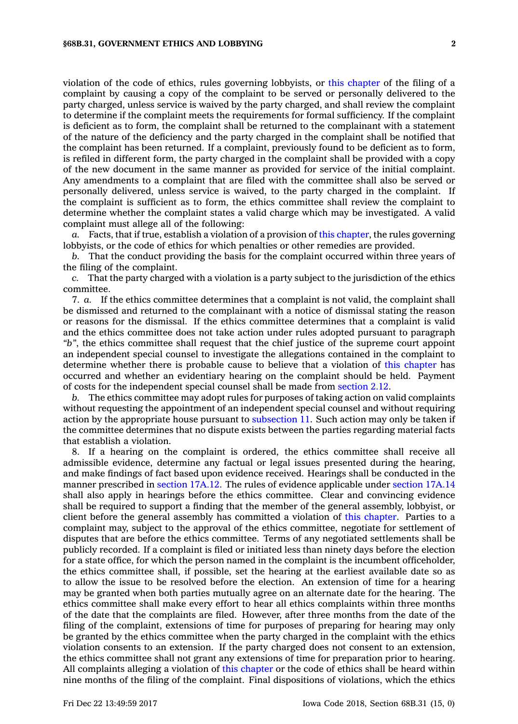violation of the code of ethics, rules governing lobbyists, or this [chapter](https://www.legis.iowa.gov/docs/code//68B.pdf) of the filing of <sup>a</sup> complaint by causing <sup>a</sup> copy of the complaint to be served or personally delivered to the party charged, unless service is waived by the party charged, and shall review the complaint to determine if the complaint meets the requirements for formal sufficiency. If the complaint is deficient as to form, the complaint shall be returned to the complainant with <sup>a</sup> statement of the nature of the deficiency and the party charged in the complaint shall be notified that the complaint has been returned. If <sup>a</sup> complaint, previously found to be deficient as to form, is refiled in different form, the party charged in the complaint shall be provided with <sup>a</sup> copy of the new document in the same manner as provided for service of the initial complaint. Any amendments to <sup>a</sup> complaint that are filed with the committee shall also be served or personally delivered, unless service is waived, to the party charged in the complaint. If the complaint is sufficient as to form, the ethics committee shall review the complaint to determine whether the complaint states <sup>a</sup> valid charge which may be investigated. A valid complaint must allege all of the following:

*a.* Facts, that if true, establish <sup>a</sup> violation of <sup>a</sup> provision of this [chapter](https://www.legis.iowa.gov/docs/code//68B.pdf), the rules governing lobbyists, or the code of ethics for which penalties or other remedies are provided.

*b.* That the conduct providing the basis for the complaint occurred within three years of the filing of the complaint.

*c.* That the party charged with <sup>a</sup> violation is <sup>a</sup> party subject to the jurisdiction of the ethics committee.

7. *a.* If the ethics committee determines that <sup>a</sup> complaint is not valid, the complaint shall be dismissed and returned to the complainant with <sup>a</sup> notice of dismissal stating the reason or reasons for the dismissal. If the ethics committee determines that <sup>a</sup> complaint is valid and the ethics committee does not take action under rules adopted pursuant to paragraph *"b"*, the ethics committee shall request that the chief justice of the supreme court appoint an independent special counsel to investigate the allegations contained in the complaint to determine whether there is probable cause to believe that <sup>a</sup> violation of this [chapter](https://www.legis.iowa.gov/docs/code//68B.pdf) has occurred and whether an evidentiary hearing on the complaint should be held. Payment of costs for the independent special counsel shall be made from [section](https://www.legis.iowa.gov/docs/code/2.12.pdf) 2.12.

*b.* The ethics committee may adopt rules for purposes of taking action on valid complaints without requesting the appointment of an independent special counsel and without requiring action by the appropriate house pursuant to [subsection](https://www.legis.iowa.gov/docs/code/68B.31.pdf) 11. Such action may only be taken if the committee determines that no dispute exists between the parties regarding material facts that establish <sup>a</sup> violation.

8. If <sup>a</sup> hearing on the complaint is ordered, the ethics committee shall receive all admissible evidence, determine any factual or legal issues presented during the hearing, and make findings of fact based upon evidence received. Hearings shall be conducted in the manner prescribed in [section](https://www.legis.iowa.gov/docs/code/17A.12.pdf) 17A.12. The rules of evidence applicable under [section](https://www.legis.iowa.gov/docs/code/17A.14.pdf) 17A.14 shall also apply in hearings before the ethics committee. Clear and convincing evidence shall be required to support <sup>a</sup> finding that the member of the general assembly, lobbyist, or client before the general assembly has committed <sup>a</sup> violation of this [chapter](https://www.legis.iowa.gov/docs/code//68B.pdf). Parties to <sup>a</sup> complaint may, subject to the approval of the ethics committee, negotiate for settlement of disputes that are before the ethics committee. Terms of any negotiated settlements shall be publicly recorded. If <sup>a</sup> complaint is filed or initiated less than ninety days before the election for <sup>a</sup> state office, for which the person named in the complaint is the incumbent officeholder, the ethics committee shall, if possible, set the hearing at the earliest available date so as to allow the issue to be resolved before the election. An extension of time for <sup>a</sup> hearing may be granted when both parties mutually agree on an alternate date for the hearing. The ethics committee shall make every effort to hear all ethics complaints within three months of the date that the complaints are filed. However, after three months from the date of the filing of the complaint, extensions of time for purposes of preparing for hearing may only be granted by the ethics committee when the party charged in the complaint with the ethics violation consents to an extension. If the party charged does not consent to an extension, the ethics committee shall not grant any extensions of time for preparation prior to hearing. All complaints alleging <sup>a</sup> violation of this [chapter](https://www.legis.iowa.gov/docs/code//68B.pdf) or the code of ethics shall be heard within nine months of the filing of the complaint. Final dispositions of violations, which the ethics